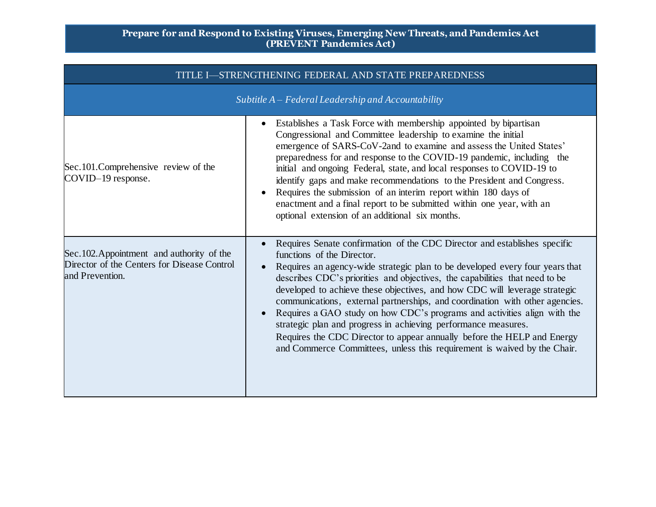| TITLE I—STRENGTHENING FEDERAL AND STATE PREPAREDNESS                                                         |                                                                                                                                                                                                                                                                                                                                                                                                                                                                                                                                                                                                                                                                                                                                           |  |
|--------------------------------------------------------------------------------------------------------------|-------------------------------------------------------------------------------------------------------------------------------------------------------------------------------------------------------------------------------------------------------------------------------------------------------------------------------------------------------------------------------------------------------------------------------------------------------------------------------------------------------------------------------------------------------------------------------------------------------------------------------------------------------------------------------------------------------------------------------------------|--|
|                                                                                                              | Subtitle $A$ – Federal Leadership and Accountability                                                                                                                                                                                                                                                                                                                                                                                                                                                                                                                                                                                                                                                                                      |  |
| Sec.101.Comprehensive review of the<br>COVID-19 response.                                                    | Establishes a Task Force with membership appointed by bipartisan<br>Congressional and Committee leadership to examine the initial<br>emergence of SARS-CoV-2and to examine and assess the United States'<br>preparedness for and response to the COVID-19 pandemic, including the<br>initial and ongoing Federal, state, and local responses to COVID-19 to<br>identify gaps and make recommendations to the President and Congress.<br>Requires the submission of an interim report within 180 days of<br>enactment and a final report to be submitted within one year, with an<br>optional extension of an additional six months.                                                                                                       |  |
| Sec. 102. Appointment and authority of the<br>Director of the Centers for Disease Control<br>and Prevention. | Requires Senate confirmation of the CDC Director and establishes specific<br>functions of the Director.<br>Requires an agency-wide strategic plan to be developed every four years that<br>describes CDC's priorities and objectives, the capabilities that need to be<br>developed to achieve these objectives, and how CDC will leverage strategic<br>communications, external partnerships, and coordination with other agencies.<br>Requires a GAO study on how CDC's programs and activities align with the<br>strategic plan and progress in achieving performance measures.<br>Requires the CDC Director to appear annually before the HELP and Energy<br>and Commerce Committees, unless this requirement is waived by the Chair. |  |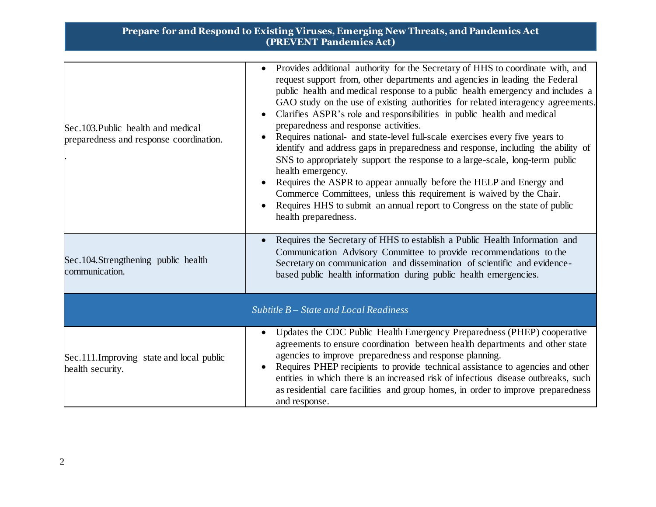| Sec.103. Public health and medical<br>preparedness and response coordination. | Provides additional authority for the Secretary of HHS to coordinate with, and<br>request support from, other departments and agencies in leading the Federal<br>public health and medical response to a public health emergency and includes a<br>GAO study on the use of existing authorities for related interagency agreements.<br>Clarifies ASPR's role and responsibilities in public health and medical<br>preparedness and response activities.<br>Requires national- and state-level full-scale exercises every five years to<br>identify and address gaps in preparedness and response, including the ability of<br>SNS to appropriately support the response to a large-scale, long-term public<br>health emergency.<br>Requires the ASPR to appear annually before the HELP and Energy and<br>Commerce Committees, unless this requirement is waived by the Chair.<br>Requires HHS to submit an annual report to Congress on the state of public<br>health preparedness. |
|-------------------------------------------------------------------------------|--------------------------------------------------------------------------------------------------------------------------------------------------------------------------------------------------------------------------------------------------------------------------------------------------------------------------------------------------------------------------------------------------------------------------------------------------------------------------------------------------------------------------------------------------------------------------------------------------------------------------------------------------------------------------------------------------------------------------------------------------------------------------------------------------------------------------------------------------------------------------------------------------------------------------------------------------------------------------------------|
| Sec. 104. Strengthening public health<br>communication.                       | Requires the Secretary of HHS to establish a Public Health Information and<br>Communication Advisory Committee to provide recommendations to the<br>Secretary on communication and dissemination of scientific and evidence-<br>based public health information during public health emergencies.                                                                                                                                                                                                                                                                                                                                                                                                                                                                                                                                                                                                                                                                                    |
|                                                                               | Subtitle $B - State$ and Local Readiness                                                                                                                                                                                                                                                                                                                                                                                                                                                                                                                                                                                                                                                                                                                                                                                                                                                                                                                                             |
| Sec.111. Improving state and local public<br>health security.                 | Updates the CDC Public Health Emergency Preparedness (PHEP) cooperative<br>agreements to ensure coordination between health departments and other state<br>agencies to improve preparedness and response planning.<br>Requires PHEP recipients to provide technical assistance to agencies and other<br>entities in which there is an increased risk of infectious disease outbreaks, such<br>as residential care facilities and group homes, in order to improve preparedness<br>and response.                                                                                                                                                                                                                                                                                                                                                                                                                                                                                      |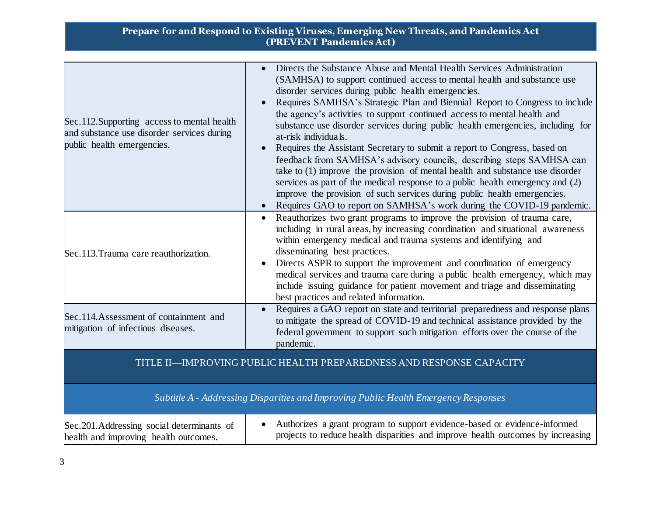| Sec.112. Supporting access to mental health<br>and substance use disorder services during<br>public health emergencies. | Directs the Substance Abuse and Mental Health Services Administration<br>(SAMHSA) to support continued access to mental health and substance use<br>disorder services during public health emergencies.<br>Requires SAMHSA's Strategic Plan and Biennial Report to Congress to include<br>$\bullet$<br>the agency's activities to support continued access to mental health and<br>substance use disorder services during public health emergencies, including for<br>at-risk individuals.<br>Requires the Assistant Secretary to submit a report to Congress, based on<br>$\bullet$<br>feedback from SAMHSA's advisory councils, describing steps SAMHSA can<br>take to $(1)$ improve the provision of mental health and substance use disorder<br>services as part of the medical response to a public health emergency and (2)<br>improve the provision of such services during public health emergencies.<br>Requires GAO to report on SAMHSA's work during the COVID-19 pandemic. |
|-------------------------------------------------------------------------------------------------------------------------|----------------------------------------------------------------------------------------------------------------------------------------------------------------------------------------------------------------------------------------------------------------------------------------------------------------------------------------------------------------------------------------------------------------------------------------------------------------------------------------------------------------------------------------------------------------------------------------------------------------------------------------------------------------------------------------------------------------------------------------------------------------------------------------------------------------------------------------------------------------------------------------------------------------------------------------------------------------------------------------|
| Sec.113. Trauma care reauthorization.                                                                                   | Reauthorizes two grant programs to improve the provision of trauma care,<br>including in rural areas, by increasing coordination and situational awareness<br>within emergency medical and trauma systems and identifying and<br>disseminating best practices.<br>Directs ASPR to support the improvement and coordination of emergency<br>medical services and trauma care during a public health emergency, which may<br>include issuing guidance for patient movement and triage and disseminating<br>best practices and related information.                                                                                                                                                                                                                                                                                                                                                                                                                                       |
| Sec.114. Assessment of containment and<br>mitigation of infectious diseases.                                            | Requires a GAO report on state and territorial preparedness and response plans<br>to mitigate the spread of COVID-19 and technical assistance provided by the<br>federal government to support such mitigation efforts over the course of the<br>pandemic.                                                                                                                                                                                                                                                                                                                                                                                                                                                                                                                                                                                                                                                                                                                             |
|                                                                                                                         | TITLE II—IMPROVING PUBLIC HEALTH PREPAREDNESS AND RESPONSE CAPACITY                                                                                                                                                                                                                                                                                                                                                                                                                                                                                                                                                                                                                                                                                                                                                                                                                                                                                                                    |
|                                                                                                                         | Subtitle A - Addressing Disparities and Improving Public Health Emergency Responses                                                                                                                                                                                                                                                                                                                                                                                                                                                                                                                                                                                                                                                                                                                                                                                                                                                                                                    |
| Sec.201.Addressing social determinants of<br>health and improving health outcomes.                                      | Authorizes a grant program to support evidence-based or evidence-informed<br>projects to reduce health disparities and improve health outcomes by increasing                                                                                                                                                                                                                                                                                                                                                                                                                                                                                                                                                                                                                                                                                                                                                                                                                           |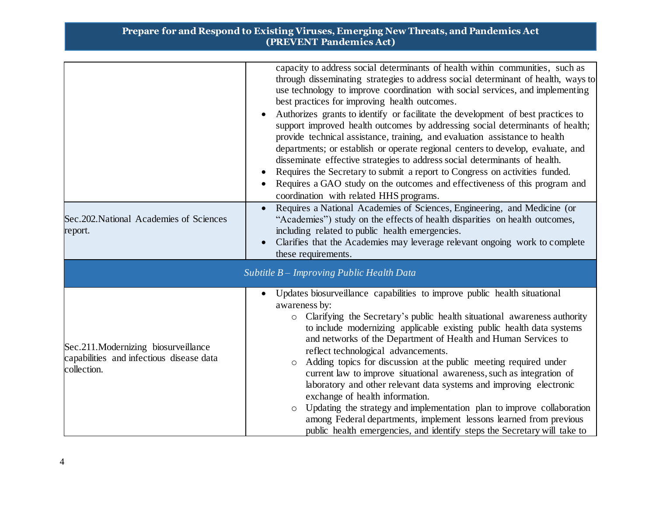| Sec.202. National Academies of Sciences                                                        | capacity to address social determinants of health within communities, such as<br>through disseminating strategies to address social determinant of health, ways to<br>use technology to improve coordination with social services, and implementing<br>best practices for improving health outcomes.<br>Authorizes grants to identify or facilitate the development of best practices to<br>support improved health outcomes by addressing social determinants of health;<br>provide technical assistance, training, and evaluation assistance to health<br>departments; or establish or operate regional centers to develop, evaluate, and<br>disseminate effective strategies to address social determinants of health.<br>Requires the Secretary to submit a report to Congress on activities funded.<br>Requires a GAO study on the outcomes and effectiveness of this program and<br>coordination with related HHS programs.<br>Requires a National Academies of Sciences, Engineering, and Medicine (or<br>"Academies") study on the effects of health disparities on health outcomes, |
|------------------------------------------------------------------------------------------------|----------------------------------------------------------------------------------------------------------------------------------------------------------------------------------------------------------------------------------------------------------------------------------------------------------------------------------------------------------------------------------------------------------------------------------------------------------------------------------------------------------------------------------------------------------------------------------------------------------------------------------------------------------------------------------------------------------------------------------------------------------------------------------------------------------------------------------------------------------------------------------------------------------------------------------------------------------------------------------------------------------------------------------------------------------------------------------------------|
| report.                                                                                        | including related to public health emergencies.<br>Clarifies that the Academies may leverage relevant ongoing work to complete<br>these requirements.                                                                                                                                                                                                                                                                                                                                                                                                                                                                                                                                                                                                                                                                                                                                                                                                                                                                                                                                        |
|                                                                                                | Subtitle B - Improving Public Health Data                                                                                                                                                                                                                                                                                                                                                                                                                                                                                                                                                                                                                                                                                                                                                                                                                                                                                                                                                                                                                                                    |
| Sec.211.Modernizing biosurveillance<br>capabilities and infectious disease data<br>collection. | Updates biosurveillance capabilities to improve public health situational<br>awareness by:<br>Clarifying the Secretary's public health situational awareness authority<br>$\circ$<br>to include modernizing applicable existing public health data systems<br>and networks of the Department of Health and Human Services to<br>reflect technological advancements.<br>Adding topics for discussion at the public meeting required under<br>$\circ$<br>current law to improve situational awareness, such as integration of<br>laboratory and other relevant data systems and improving electronic<br>exchange of health information.<br>Updating the strategy and implementation plan to improve collaboration<br>$\circ$<br>among Federal departments, implement lessons learned from previous<br>public health emergencies, and identify steps the Secretary will take to                                                                                                                                                                                                                 |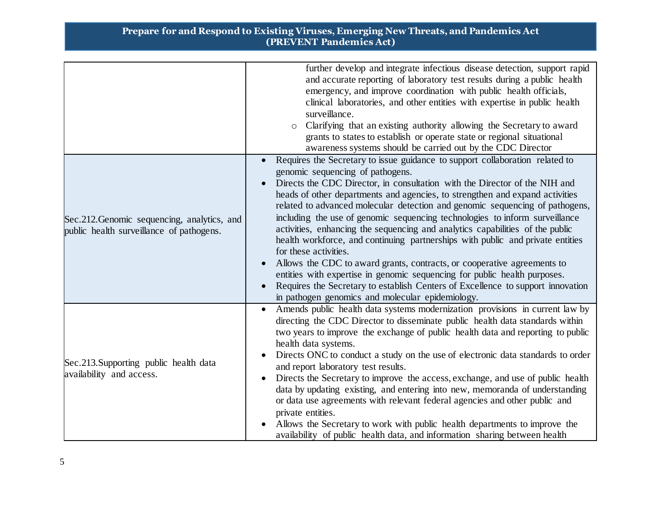|                                                                                         | further develop and integrate infectious disease detection, support rapid<br>and accurate reporting of laboratory test results during a public health<br>emergency, and improve coordination with public health officials,<br>clinical laboratories, and other entities with expertise in public health<br>surveillance.<br>Clarifying that an existing authority allowing the Secretary to award<br>$\circ$<br>grants to states to establish or operate state or regional situational<br>awareness systems should be carried out by the CDC Director                                                                                                                                                                                                                                                                                                                                                                                    |
|-----------------------------------------------------------------------------------------|------------------------------------------------------------------------------------------------------------------------------------------------------------------------------------------------------------------------------------------------------------------------------------------------------------------------------------------------------------------------------------------------------------------------------------------------------------------------------------------------------------------------------------------------------------------------------------------------------------------------------------------------------------------------------------------------------------------------------------------------------------------------------------------------------------------------------------------------------------------------------------------------------------------------------------------|
| Sec.212. Genomic sequencing, analytics, and<br>public health surveillance of pathogens. | Requires the Secretary to issue guidance to support collaboration related to<br>genomic sequencing of pathogens.<br>Directs the CDC Director, in consultation with the Director of the NIH and<br>heads of other departments and agencies, to strengthen and expand activities<br>related to advanced molecular detection and genomic sequencing of pathogens,<br>including the use of genomic sequencing technologies to inform surveillance<br>activities, enhancing the sequencing and analytics capabilities of the public<br>health workforce, and continuing partnerships with public and private entities<br>for these activities.<br>Allows the CDC to award grants, contracts, or cooperative agreements to<br>entities with expertise in genomic sequencing for public health purposes.<br>Requires the Secretary to establish Centers of Excellence to support innovation<br>in pathogen genomics and molecular epidemiology. |
| Sec.213.Supporting public health data<br>availability and access.                       | Amends public health data systems modernization provisions in current law by<br>directing the CDC Director to disseminate public health data standards within<br>two years to improve the exchange of public health data and reporting to public<br>health data systems.<br>Directs ONC to conduct a study on the use of electronic data standards to order<br>and report laboratory test results.<br>Directs the Secretary to improve the access, exchange, and use of public health<br>data by updating existing, and entering into new, memoranda of understanding<br>or data use agreements with relevant federal agencies and other public and<br>private entities.<br>Allows the Secretary to work with public health departments to improve the<br>availability of public health data, and information sharing between health                                                                                                     |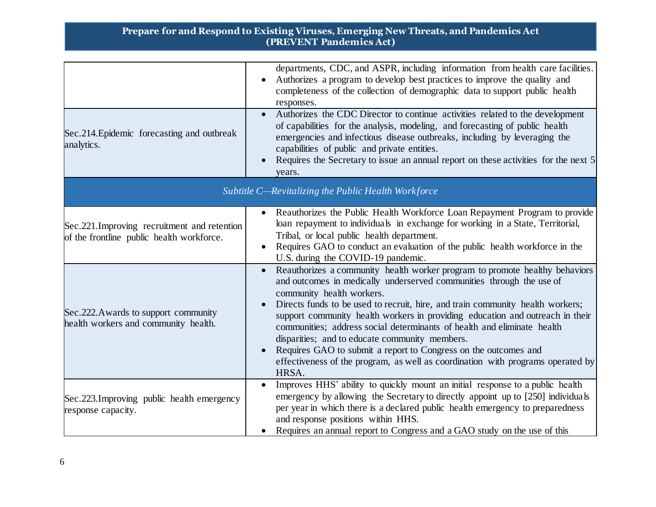| Sec.214. Epidemic forecasting and outbreak<br>analytics.                                   | departments, CDC, and ASPR, including information from health care facilities.<br>Authorizes a program to develop best practices to improve the quality and<br>completeness of the collection of demographic data to support public health<br>responses.<br>Authorizes the CDC Director to continue activities related to the development<br>of capabilities for the analysis, modeling, and forecasting of public health<br>emergencies and infectious disease outbreaks, including by leveraging the<br>capabilities of public and private entities.<br>Requires the Secretary to issue an annual report on these activities for the next 5<br>years.      |
|--------------------------------------------------------------------------------------------|--------------------------------------------------------------------------------------------------------------------------------------------------------------------------------------------------------------------------------------------------------------------------------------------------------------------------------------------------------------------------------------------------------------------------------------------------------------------------------------------------------------------------------------------------------------------------------------------------------------------------------------------------------------|
|                                                                                            | Subtitle C-Revitalizing the Public Health Workforce                                                                                                                                                                                                                                                                                                                                                                                                                                                                                                                                                                                                          |
| Sec. 221. Improving recruitment and retention<br>of the frontline public health workforce. | Reauthorizes the Public Health Workforce Loan Repayment Program to provide<br>loan repayment to individuals in exchange for working in a State, Territorial,<br>Tribal, or local public health department.<br>Requires GAO to conduct an evaluation of the public health workforce in the<br>U.S. during the COVID-19 pandemic.                                                                                                                                                                                                                                                                                                                              |
| Sec.222. Awards to support community<br>health workers and community health.               | Reauthorizes a community health worker program to promote healthy behaviors<br>$\bullet$<br>and outcomes in medically underserved communities through the use of<br>community health workers.<br>Directs funds to be used to recruit, hire, and train community health workers;<br>support community health workers in providing education and outreach in their<br>communities; address social determinants of health and eliminate health<br>disparities; and to educate community members.<br>Requires GAO to submit a report to Congress on the outcomes and<br>effectiveness of the program, as well as coordination with programs operated by<br>HRSA. |
| Sec. 223. Improving public health emergency<br>response capacity.                          | Improves HHS' ability to quickly mount an initial response to a public health<br>$\bullet$<br>emergency by allowing the Secretary to directly appoint up to [250] individuals<br>per year in which there is a declared public health emergency to preparedness<br>and response positions within HHS.<br>Requires an annual report to Congress and a GAO study on the use of this                                                                                                                                                                                                                                                                             |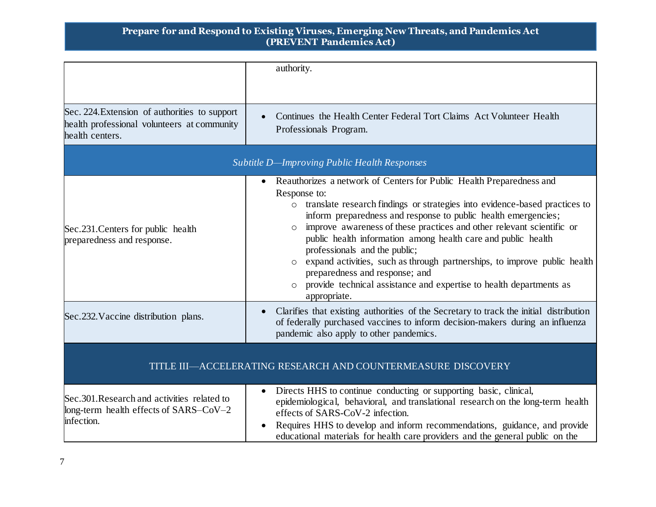|                                                                                                                 | authority.                                                                                                                                                                                                                                                                                                                                                                                                                                                                                                                                                                                                                           |
|-----------------------------------------------------------------------------------------------------------------|--------------------------------------------------------------------------------------------------------------------------------------------------------------------------------------------------------------------------------------------------------------------------------------------------------------------------------------------------------------------------------------------------------------------------------------------------------------------------------------------------------------------------------------------------------------------------------------------------------------------------------------|
| Sec. 224. Extension of authorities to support<br>health professional volunteers at community<br>health centers. | Continues the Health Center Federal Tort Claims Act Volunteer Health<br>Professionals Program.                                                                                                                                                                                                                                                                                                                                                                                                                                                                                                                                       |
|                                                                                                                 | Subtitle D-Improving Public Health Responses                                                                                                                                                                                                                                                                                                                                                                                                                                                                                                                                                                                         |
| Sec.231. Centers for public health<br>preparedness and response.                                                | Reauthorizes a network of Centers for Public Health Preparedness and<br>$\bullet$<br>Response to:<br>o translate research findings or strategies into evidence-based practices to<br>inform preparedness and response to public health emergencies;<br>improve awareness of these practices and other relevant scientific or<br>public health information among health care and public health<br>professionals and the public;<br>expand activities, such as through partnerships, to improve public health<br>preparedness and response; and<br>provide technical assistance and expertise to health departments as<br>appropriate. |
| Sec.232. Vaccine distribution plans.                                                                            | Clarifies that existing authorities of the Secretary to track the initial distribution<br>of federally purchased vaccines to inform decision-makers during an influenza<br>pandemic also apply to other pandemics.                                                                                                                                                                                                                                                                                                                                                                                                                   |
| TITLE III-ACCELERATING RESEARCH AND COUNTERMEASURE DISCOVERY                                                    |                                                                                                                                                                                                                                                                                                                                                                                                                                                                                                                                                                                                                                      |
| Sec. 301. Research and activities related to<br>long-term health effects of SARS-CoV-2<br>infection.            | Directs HHS to continue conducting or supporting basic, clinical,<br>epidemiological, behavioral, and translational research on the long-term health<br>effects of SARS-CoV-2 infection.<br>Requires HHS to develop and inform recommendations, guidance, and provide<br>educational materials for health care providers and the general public on the                                                                                                                                                                                                                                                                               |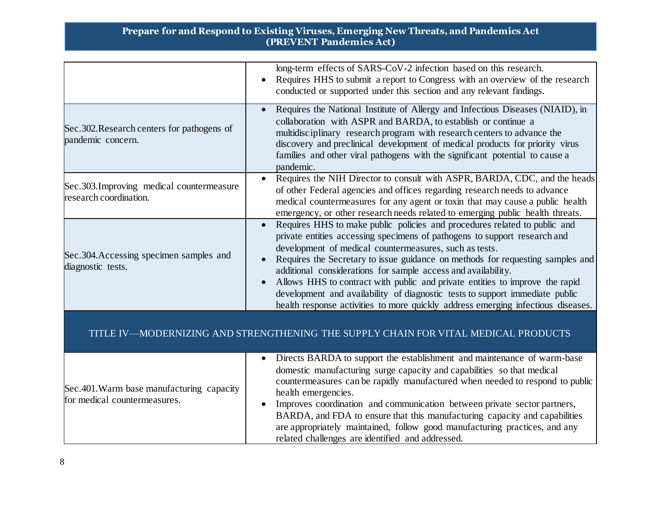|                                                                           | long-term effects of SARS-CoV-2 infection based on this research.<br>Requires HHS to submit a report to Congress with an overview of the research<br>conducted or supported under this section and any relevant findings.                                                                                                                                                                                                                                                                                                                                                                                               |
|---------------------------------------------------------------------------|-------------------------------------------------------------------------------------------------------------------------------------------------------------------------------------------------------------------------------------------------------------------------------------------------------------------------------------------------------------------------------------------------------------------------------------------------------------------------------------------------------------------------------------------------------------------------------------------------------------------------|
| Sec.302. Research centers for pathogens of<br>pandemic concern.           | Requires the National Institute of Allergy and Infectious Diseases (NIAID), in<br>collaboration with ASPR and BARDA, to establish or continue a<br>multidisciplinary research program with research centers to advance the<br>discovery and preclinical development of medical products for priority virus<br>families and other viral pathogens with the significant potential to cause a<br>pandemic.                                                                                                                                                                                                                 |
| Sec.303. Improving medical countermeasure<br>research coordination.       | Requires the NIH Director to consult with ASPR, BARDA, CDC, and the heads<br>of other Federal agencies and offices regarding research needs to advance<br>medical countermeasures for any agent or toxin that may cause a public health<br>emergency, or other research needs related to emerging public health threats.                                                                                                                                                                                                                                                                                                |
| Sec.304. Accessing specimen samples and<br>diagnostic tests.              | Requires HHS to make public policies and procedures related to public and<br>private entities accessing specimens of pathogens to support research and<br>development of medical countermeasures, such as tests.<br>Requires the Secretary to issue guidance on methods for requesting samples and<br>additional considerations for sample access and availability.<br>Allows HHS to contract with public and private entities to improve the rapid<br>development and availability of diagnostic tests to support immediate public<br>health response activities to more quickly address emerging infectious diseases. |
|                                                                           | TITLE IV—MODERNIZING AND STRENGTHENING THE SUPPLY CHAIN FOR VITAL MEDICAL PRODUCTS                                                                                                                                                                                                                                                                                                                                                                                                                                                                                                                                      |
| Sec.401. Warm base manufacturing capacity<br>for medical countermeasures. | Directs BARDA to support the establishment and maintenance of warm-base<br>domestic manufacturing surge capacity and capabilities so that medical<br>countermeasures can be rapidly manufactured when needed to respond to public<br>health emergencies.<br>Improves coordination and communication between private sector partners,<br>BARDA, and FDA to ensure that this manufacturing capacity and capabilities<br>are appropriately maintained, follow good manufacturing practices, and any<br>related challenges are identified and addressed.                                                                    |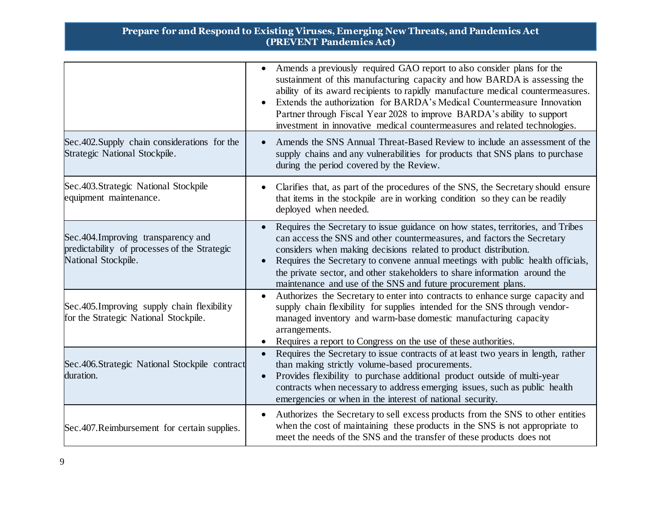|                                                                                                             | Amends a previously required GAO report to also consider plans for the<br>$\bullet$<br>sustainment of this manufacturing capacity and how BARDA is assessing the<br>ability of its award recipients to rapidly manufacture medical countermeasures.<br>Extends the authorization for BARDA's Medical Countermeasure Innovation<br>Partner through Fiscal Year 2028 to improve BARDA's ability to support<br>investment in innovative medical countermeasures and related technologies. |
|-------------------------------------------------------------------------------------------------------------|----------------------------------------------------------------------------------------------------------------------------------------------------------------------------------------------------------------------------------------------------------------------------------------------------------------------------------------------------------------------------------------------------------------------------------------------------------------------------------------|
| Sec. 402. Supply chain considerations for the<br>Strategic National Stockpile.                              | Amends the SNS Annual Threat-Based Review to include an assessment of the<br>supply chains and any vulnerabilities for products that SNS plans to purchase<br>during the period covered by the Review.                                                                                                                                                                                                                                                                                 |
| Sec.403.Strategic National Stockpile<br>equipment maintenance.                                              | Clarifies that, as part of the procedures of the SNS, the Secretary should ensure<br>that items in the stockpile are in working condition so they can be readily<br>deployed when needed.                                                                                                                                                                                                                                                                                              |
| Sec. 404. Improving transparency and<br>predictability of processes of the Strategic<br>National Stockpile. | Requires the Secretary to issue guidance on how states, territories, and Tribes<br>$\bullet$<br>can access the SNS and other countermeasures, and factors the Secretary<br>considers when making decisions related to product distribution.<br>Requires the Secretary to convene annual meetings with public health officials,<br>the private sector, and other stakeholders to share information around the<br>maintenance and use of the SNS and future procurement plans.           |
| Sec. 405. Improving supply chain flexibility<br>for the Strategic National Stockpile.                       | Authorizes the Secretary to enter into contracts to enhance surge capacity and<br>$\bullet$<br>supply chain flexibility for supplies intended for the SNS through vendor-<br>managed inventory and warm-base domestic manufacturing capacity<br>arrangements.<br>Requires a report to Congress on the use of these authorities.                                                                                                                                                        |
| Sec. 406. Strategic National Stockpile contract<br>duration.                                                | Requires the Secretary to issue contracts of at least two years in length, rather<br>$\bullet$<br>than making strictly volume-based procurements.<br>Provides flexibility to purchase additional product outside of multi-year<br>contracts when necessary to address emerging issues, such as public health<br>emergencies or when in the interest of national security.                                                                                                              |
| Sec.407.Reimbursement for certain supplies.                                                                 | Authorizes the Secretary to sell excess products from the SNS to other entities<br>$\bullet$<br>when the cost of maintaining these products in the SNS is not appropriate to<br>meet the needs of the SNS and the transfer of these products does not                                                                                                                                                                                                                                  |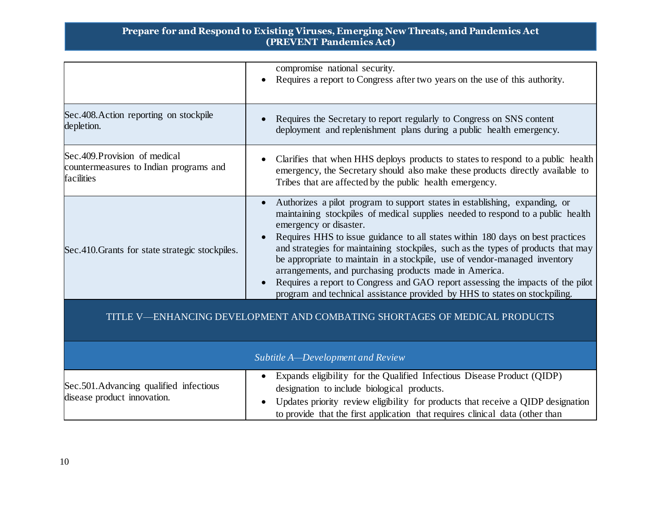|                                                                                        | compromise national security.<br>Requires a report to Congress after two years on the use of this authority.                                                                                                                                                                                                                                                                                                                                                                                                                                                                                                                                                             |
|----------------------------------------------------------------------------------------|--------------------------------------------------------------------------------------------------------------------------------------------------------------------------------------------------------------------------------------------------------------------------------------------------------------------------------------------------------------------------------------------------------------------------------------------------------------------------------------------------------------------------------------------------------------------------------------------------------------------------------------------------------------------------|
| Sec. 408. Action reporting on stockpile<br>depletion.                                  | Requires the Secretary to report regularly to Congress on SNS content<br>deployment and replenishment plans during a public health emergency.                                                                                                                                                                                                                                                                                                                                                                                                                                                                                                                            |
| Sec. 409. Provision of medical<br>countermeasures to Indian programs and<br>facilities | Clarifies that when HHS deploys products to states to respond to a public health<br>emergency, the Secretary should also make these products directly available to<br>Tribes that are affected by the public health emergency.                                                                                                                                                                                                                                                                                                                                                                                                                                           |
| Sec. 410. Grants for state strategic stockpiles.                                       | Authorizes a pilot program to support states in establishing, expanding, or<br>maintaining stockpiles of medical supplies needed to respond to a public health<br>emergency or disaster.<br>Requires HHS to issue guidance to all states within 180 days on best practices<br>and strategies for maintaining stockpiles, such as the types of products that may<br>be appropriate to maintain in a stockpile, use of vendor-managed inventory<br>arrangements, and purchasing products made in America.<br>Requires a report to Congress and GAO report assessing the impacts of the pilot<br>program and technical assistance provided by HHS to states on stockpiling. |
|                                                                                        | TITLE V—ENHANCING DEVELOPMENT AND COMBATING SHORTAGES OF MEDICAL PRODUCTS                                                                                                                                                                                                                                                                                                                                                                                                                                                                                                                                                                                                |
|                                                                                        | Subtitle A-Development and Review                                                                                                                                                                                                                                                                                                                                                                                                                                                                                                                                                                                                                                        |
| Sec.501. Advancing qualified infectious<br>disease product innovation.                 | Expands eligibility for the Qualified Infectious Disease Product (QIDP)<br>designation to include biological products.<br>Updates priority review eligibility for products that receive a QIDP designation<br>to provide that the first application that requires clinical data (other than                                                                                                                                                                                                                                                                                                                                                                              |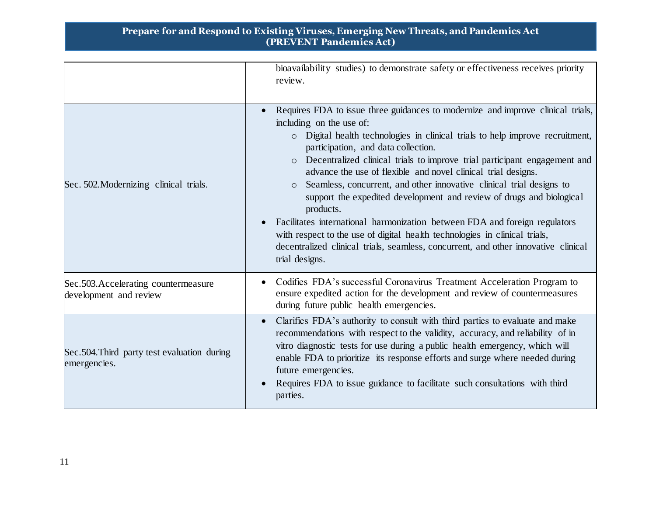|                                                                | bioavailability studies) to demonstrate safety or effectiveness receives priority<br>review.                                                                                                                                                                                                                                                                                                                                                                                                                                                                                                                                                                                                                                                                                                                                              |
|----------------------------------------------------------------|-------------------------------------------------------------------------------------------------------------------------------------------------------------------------------------------------------------------------------------------------------------------------------------------------------------------------------------------------------------------------------------------------------------------------------------------------------------------------------------------------------------------------------------------------------------------------------------------------------------------------------------------------------------------------------------------------------------------------------------------------------------------------------------------------------------------------------------------|
| Sec. 502. Modernizing clinical trials.                         | Requires FDA to issue three guidances to modernize and improve clinical trials,<br>including on the use of:<br>o Digital health technologies in clinical trials to help improve recruitment,<br>participation, and data collection.<br>Decentralized clinical trials to improve trial participant engagement and<br>$\Omega$<br>advance the use of flexible and novel clinical trial designs.<br>Seamless, concurrent, and other innovative clinical trial designs to<br>$\circ$<br>support the expedited development and review of drugs and biological<br>products.<br>Facilitates international harmonization between FDA and foreign regulators<br>with respect to the use of digital health technologies in clinical trials,<br>decentralized clinical trials, seamless, concurrent, and other innovative clinical<br>trial designs. |
| Sec.503. Accelerating countermeasure<br>development and review | Codifies FDA's successful Coronavirus Treatment Acceleration Program to<br>ensure expedited action for the development and review of countermeasures<br>during future public health emergencies.                                                                                                                                                                                                                                                                                                                                                                                                                                                                                                                                                                                                                                          |
| Sec. 504. Third party test evaluation during<br>emergencies.   | Clarifies FDA's authority to consult with third parties to evaluate and make<br>recommendations with respect to the validity, accuracy, and reliability of in<br>vitro diagnostic tests for use during a public health emergency, which will<br>enable FDA to prioritize its response efforts and surge where needed during<br>future emergencies.<br>Requires FDA to issue guidance to facilitate such consultations with third<br>parties.                                                                                                                                                                                                                                                                                                                                                                                              |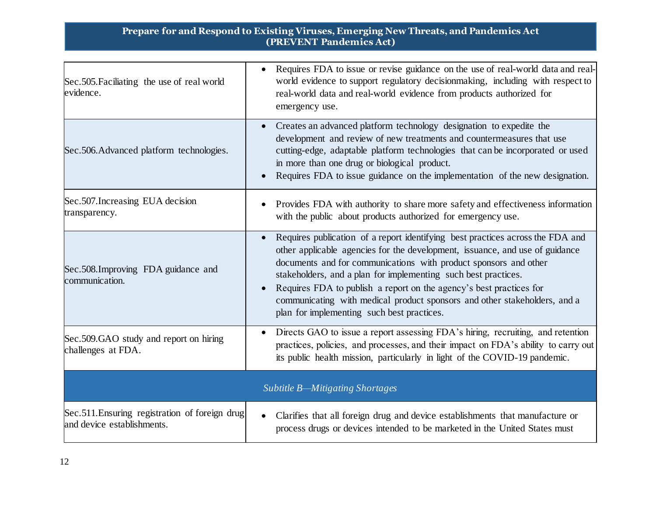| Sec. 505. Faciliating the use of real world<br>evidence.                     | Requires FDA to issue or revise guidance on the use of real-world data and real-<br>world evidence to support regulatory decision making, including with respect to<br>real-world data and real-world evidence from products authorized for<br>emergency use.                                                                                                                                                                                                                                          |
|------------------------------------------------------------------------------|--------------------------------------------------------------------------------------------------------------------------------------------------------------------------------------------------------------------------------------------------------------------------------------------------------------------------------------------------------------------------------------------------------------------------------------------------------------------------------------------------------|
| Sec.506. Advanced platform technologies.                                     | Creates an advanced platform technology designation to expedite the<br>development and review of new treatments and countermeasures that use<br>cutting-edge, adaptable platform technologies that can be incorporated or used<br>in more than one drug or biological product.<br>Requires FDA to issue guidance on the implementation of the new designation.                                                                                                                                         |
| Sec.507. Increasing EUA decision<br>transparency.                            | Provides FDA with authority to share more safety and effectiveness information<br>with the public about products authorized for emergency use.                                                                                                                                                                                                                                                                                                                                                         |
| Sec. 508. Improving FDA guidance and<br>communication.                       | Requires publication of a report identifying best practices across the FDA and<br>other applicable agencies for the development, issuance, and use of guidance<br>documents and for communications with product sponsors and other<br>stakeholders, and a plan for implementing such best practices.<br>Requires FDA to publish a report on the agency's best practices for<br>communicating with medical product sponsors and other stakeholders, and a<br>plan for implementing such best practices. |
| Sec.509.GAO study and report on hiring<br>challenges at FDA.                 | Directs GAO to issue a report assessing FDA's hiring, recruiting, and retention<br>practices, policies, and processes, and their impact on FDA's ability to carry out<br>its public health mission, particularly in light of the COVID-19 pandemic.                                                                                                                                                                                                                                                    |
| Subtitle B-Mitigating Shortages                                              |                                                                                                                                                                                                                                                                                                                                                                                                                                                                                                        |
| Sec.511. Ensuring registration of foreign drug<br>and device establishments. | Clarifies that all foreign drug and device establishments that manufacture or<br>process drugs or devices intended to be marketed in the United States must                                                                                                                                                                                                                                                                                                                                            |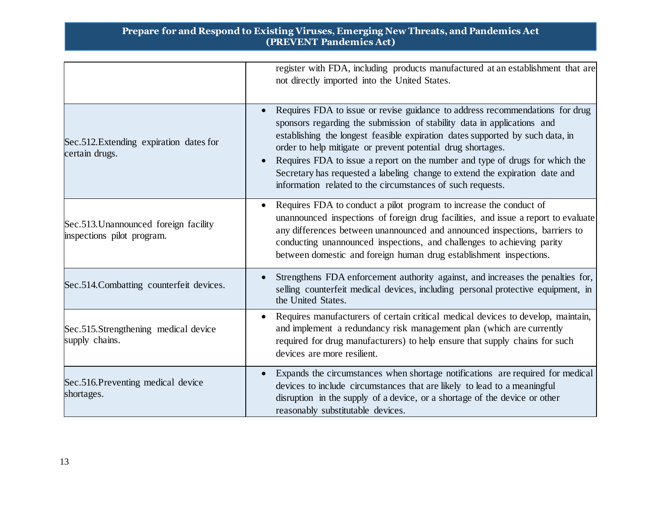|                                                                     | register with FDA, including products manufactured at an establishment that are<br>not directly imported into the United States.                                                                                                                                                                                                                                                                                                                                                                                                     |
|---------------------------------------------------------------------|--------------------------------------------------------------------------------------------------------------------------------------------------------------------------------------------------------------------------------------------------------------------------------------------------------------------------------------------------------------------------------------------------------------------------------------------------------------------------------------------------------------------------------------|
| Sec.512. Extending expiration dates for<br>certain drugs.           | Requires FDA to issue or revise guidance to address recommendations for drug<br>sponsors regarding the submission of stability data in applications and<br>establishing the longest feasible expiration dates supported by such data, in<br>order to help mitigate or prevent potential drug shortages.<br>Requires FDA to issue a report on the number and type of drugs for which the<br>Secretary has requested a labeling change to extend the expiration date and<br>information related to the circumstances of such requests. |
| Sec.513. Unannounced foreign facility<br>inspections pilot program. | Requires FDA to conduct a pilot program to increase the conduct of<br>$\bullet$<br>unannounced inspections of foreign drug facilities, and issue a report to evaluate<br>any differences between unannounced and announced inspections, barriers to<br>conducting unannounced inspections, and challenges to achieving parity<br>between domestic and foreign human drug establishment inspections.                                                                                                                                  |
| Sec.514. Combatting counterfeit devices.                            | Strengthens FDA enforcement authority against, and increases the penalties for,<br>selling counterfeit medical devices, including personal protective equipment, in<br>the United States.                                                                                                                                                                                                                                                                                                                                            |
| Sec.515.Strengthening medical device<br>supply chains.              | Requires manufacturers of certain critical medical devices to develop, maintain,<br>and implement a redundancy risk management plan (which are currently<br>required for drug manufacturers) to help ensure that supply chains for such<br>devices are more resilient.                                                                                                                                                                                                                                                               |
| Sec.516. Preventing medical device<br>shortages.                    | Expands the circumstances when shortage notifications are required for medical<br>devices to include circumstances that are likely to lead to a meaningful<br>disruption in the supply of a device, or a shortage of the device or other<br>reasonably substitutable devices.                                                                                                                                                                                                                                                        |